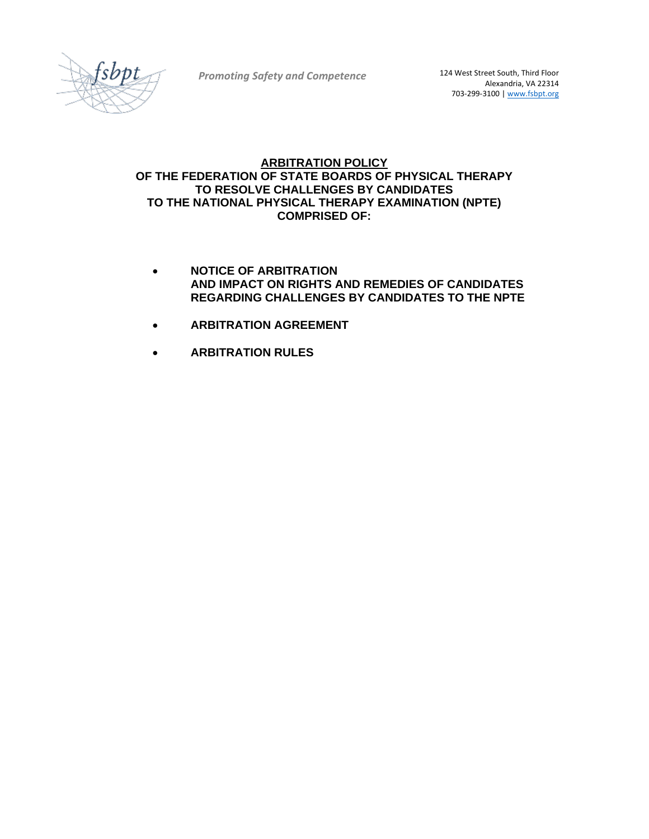

**Promoting Safety and Competence** 124 West Street South, Third Floor

Alexandria, VA 22314 703-299-3100 [| www.fsbpt.org](https://www.fsbpt.org/)

#### **ARBITRATION POLICY OF THE FEDERATION OF STATE BOARDS OF PHYSICAL THERAPY TO RESOLVE CHALLENGES BY CANDIDATES TO THE NATIONAL PHYSICAL THERAPY EXAMINATION (NPTE) COMPRISED OF:**

- **NOTICE OF ARBITRATION AND IMPACT ON RIGHTS AND REMEDIES OF CANDIDATES REGARDING CHALLENGES BY CANDIDATES TO THE NPTE**
- **ARBITRATION AGREEMENT**
- **ARBITRATION RULES**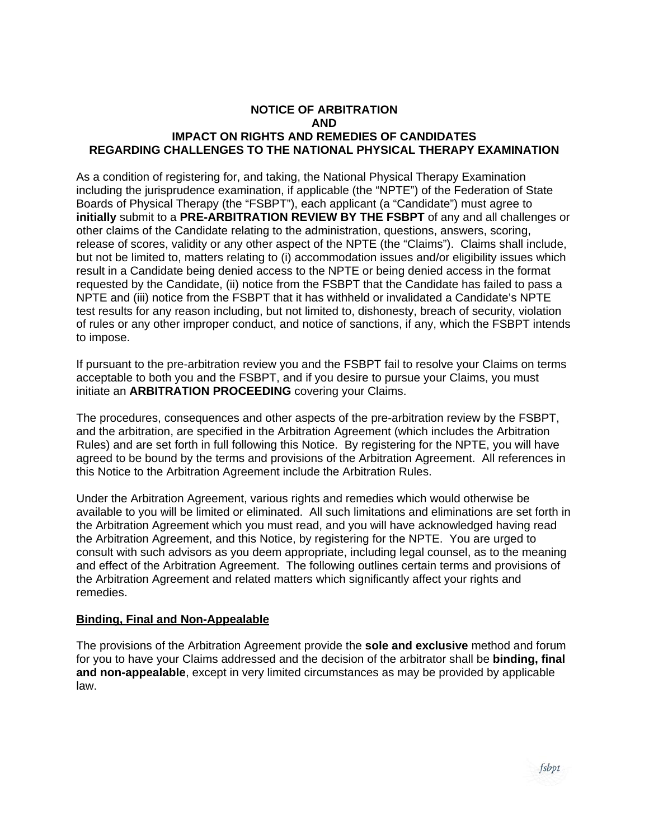### **NOTICE OF ARBITRATION AND IMPACT ON RIGHTS AND REMEDIES OF CANDIDATES REGARDING CHALLENGES TO THE NATIONAL PHYSICAL THERAPY EXAMINATION**

As a condition of registering for, and taking, the National Physical Therapy Examination including the jurisprudence examination, if applicable (the "NPTE") of the Federation of State Boards of Physical Therapy (the "FSBPT"), each applicant (a "Candidate") must agree to **initially** submit to a **PRE-ARBITRATION REVIEW BY THE FSBPT** of any and all challenges or other claims of the Candidate relating to the administration, questions, answers, scoring, release of scores, validity or any other aspect of the NPTE (the "Claims"). Claims shall include, but not be limited to, matters relating to (i) accommodation issues and/or eligibility issues which result in a Candidate being denied access to the NPTE or being denied access in the format requested by the Candidate, (ii) notice from the FSBPT that the Candidate has failed to pass a NPTE and (iii) notice from the FSBPT that it has withheld or invalidated a Candidate's NPTE test results for any reason including, but not limited to, dishonesty, breach of security, violation of rules or any other improper conduct, and notice of sanctions, if any, which the FSBPT intends to impose.

If pursuant to the pre-arbitration review you and the FSBPT fail to resolve your Claims on terms acceptable to both you and the FSBPT, and if you desire to pursue your Claims, you must initiate an **ARBITRATION PROCEEDING** covering your Claims.

The procedures, consequences and other aspects of the pre-arbitration review by the FSBPT, and the arbitration, are specified in the Arbitration Agreement (which includes the Arbitration Rules) and are set forth in full following this Notice. By registering for the NPTE, you will have agreed to be bound by the terms and provisions of the Arbitration Agreement. All references in this Notice to the Arbitration Agreement include the Arbitration Rules.

Under the Arbitration Agreement, various rights and remedies which would otherwise be available to you will be limited or eliminated. All such limitations and eliminations are set forth in the Arbitration Agreement which you must read, and you will have acknowledged having read the Arbitration Agreement, and this Notice, by registering for the NPTE. You are urged to consult with such advisors as you deem appropriate, including legal counsel, as to the meaning and effect of the Arbitration Agreement. The following outlines certain terms and provisions of the Arbitration Agreement and related matters which significantly affect your rights and remedies.

#### **Binding, Final and Non-Appealable**

The provisions of the Arbitration Agreement provide the **sole and exclusive** method and forum for you to have your Claims addressed and the decision of the arbitrator shall be **binding, final and non-appealable**, except in very limited circumstances as may be provided by applicable law.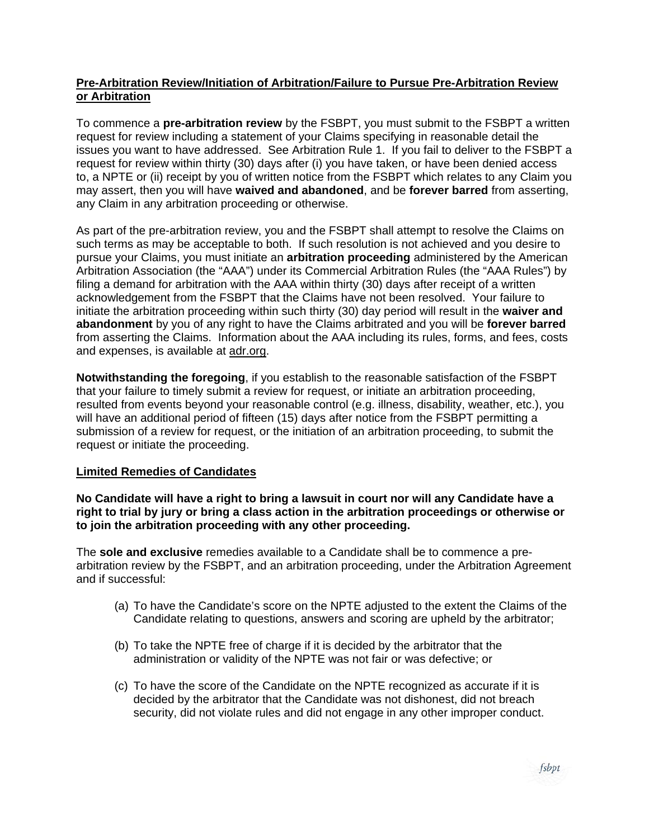### **Pre-Arbitration Review/Initiation of Arbitration/Failure to Pursue Pre-Arbitration Review or Arbitration**

To commence a **pre-arbitration review** by the FSBPT, you must submit to the FSBPT a written request for review including a statement of your Claims specifying in reasonable detail the issues you want to have addressed. See Arbitration Rule 1. If you fail to deliver to the FSBPT a request for review within thirty (30) days after (i) you have taken, or have been denied access to, a NPTE or (ii) receipt by you of written notice from the FSBPT which relates to any Claim you may assert, then you will have **waived and abandoned**, and be **forever barred** from asserting, any Claim in any arbitration proceeding or otherwise.

As part of the pre-arbitration review, you and the FSBPT shall attempt to resolve the Claims on such terms as may be acceptable to both. If such resolution is not achieved and you desire to pursue your Claims, you must initiate an **arbitration proceeding** administered by the American Arbitration Association (the "AAA") under its Commercial Arbitration Rules (the "AAA Rules") by filing a demand for arbitration with the AAA within thirty (30) days after receipt of a written acknowledgement from the FSBPT that the Claims have not been resolved. Your failure to initiate the arbitration proceeding within such thirty (30) day period will result in the **waiver and abandonment** by you of any right to have the Claims arbitrated and you will be **forever barred**  from asserting the Claims. Information about the AAA including its rules, forms, and fees, costs and expenses, is available at adr.org.

**Notwithstanding the foregoing**, if you establish to the reasonable satisfaction of the FSBPT that your failure to timely submit a review for request, or initiate an arbitration proceeding, resulted from events beyond your reasonable control (e.g. illness, disability, weather, etc.), you will have an additional period of fifteen (15) days after notice from the FSBPT permitting a submission of a review for request, or the initiation of an arbitration proceeding, to submit the request or initiate the proceeding.

### **Limited Remedies of Candidates**

**No Candidate will have a right to bring a lawsuit in court nor will any Candidate have a right to trial by jury or bring a class action in the arbitration proceedings or otherwise or to join the arbitration proceeding with any other proceeding.**

The **sole and exclusive** remedies available to a Candidate shall be to commence a prearbitration review by the FSBPT, and an arbitration proceeding, under the Arbitration Agreement and if successful:

- (a) To have the Candidate's score on the NPTE adjusted to the extent the Claims of the Candidate relating to questions, answers and scoring are upheld by the arbitrator;
- (b) To take the NPTE free of charge if it is decided by the arbitrator that the administration or validity of the NPTE was not fair or was defective; or
- (c) To have the score of the Candidate on the NPTE recognized as accurate if it is decided by the arbitrator that the Candidate was not dishonest, did not breach security, did not violate rules and did not engage in any other improper conduct.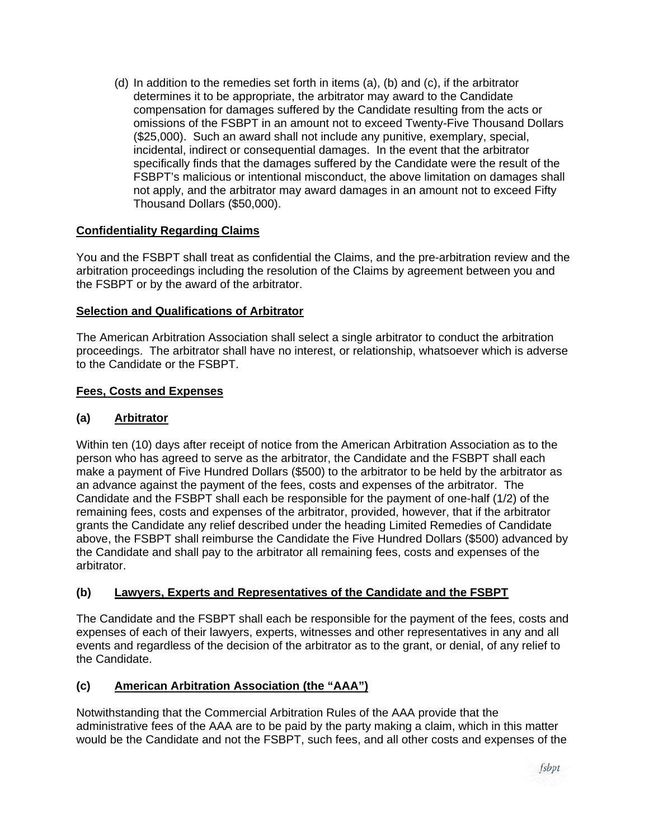(d) In addition to the remedies set forth in items (a), (b) and (c), if the arbitrator determines it to be appropriate, the arbitrator may award to the Candidate compensation for damages suffered by the Candidate resulting from the acts or omissions of the FSBPT in an amount not to exceed Twenty-Five Thousand Dollars (\$25,000). Such an award shall not include any punitive, exemplary, special, incidental, indirect or consequential damages. In the event that the arbitrator specifically finds that the damages suffered by the Candidate were the result of the FSBPT's malicious or intentional misconduct, the above limitation on damages shall not apply, and the arbitrator may award damages in an amount not to exceed Fifty Thousand Dollars (\$50,000).

# **Confidentiality Regarding Claims**

You and the FSBPT shall treat as confidential the Claims, and the pre-arbitration review and the arbitration proceedings including the resolution of the Claims by agreement between you and the FSBPT or by the award of the arbitrator.

# **Selection and Qualifications of Arbitrator**

The American Arbitration Association shall select a single arbitrator to conduct the arbitration proceedings. The arbitrator shall have no interest, or relationship, whatsoever which is adverse to the Candidate or the FSBPT.

### **Fees, Costs and Expenses**

# **(a) Arbitrator**

Within ten (10) days after receipt of notice from the American Arbitration Association as to the person who has agreed to serve as the arbitrator, the Candidate and the FSBPT shall each make a payment of Five Hundred Dollars (\$500) to the arbitrator to be held by the arbitrator as an advance against the payment of the fees, costs and expenses of the arbitrator. The Candidate and the FSBPT shall each be responsible for the payment of one-half (1/2) of the remaining fees, costs and expenses of the arbitrator, provided, however, that if the arbitrator grants the Candidate any relief described under the heading Limited Remedies of Candidate above, the FSBPT shall reimburse the Candidate the Five Hundred Dollars (\$500) advanced by the Candidate and shall pay to the arbitrator all remaining fees, costs and expenses of the arbitrator.

# **(b) Lawyers, Experts and Representatives of the Candidate and the FSBPT**

The Candidate and the FSBPT shall each be responsible for the payment of the fees, costs and expenses of each of their lawyers, experts, witnesses and other representatives in any and all events and regardless of the decision of the arbitrator as to the grant, or denial, of any relief to the Candidate.

# **(c) American Arbitration Association (the "AAA")**

Notwithstanding that the Commercial Arbitration Rules of the AAA provide that the administrative fees of the AAA are to be paid by the party making a claim, which in this matter would be the Candidate and not the FSBPT, such fees, and all other costs and expenses of the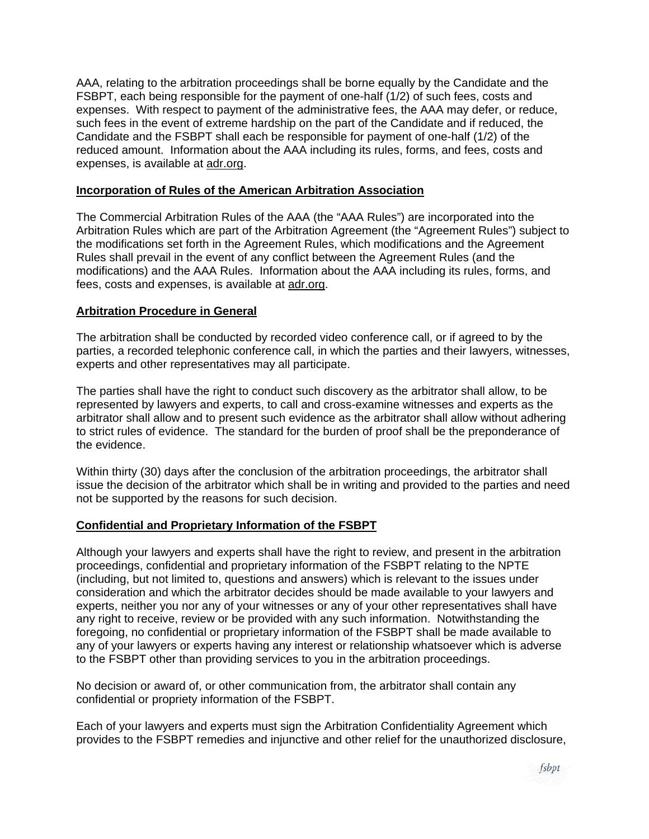AAA, relating to the arbitration proceedings shall be borne equally by the Candidate and the FSBPT, each being responsible for the payment of one-half (1/2) of such fees, costs and expenses. With respect to payment of the administrative fees, the AAA may defer, or reduce, such fees in the event of extreme hardship on the part of the Candidate and if reduced, the Candidate and the FSBPT shall each be responsible for payment of one-half (1/2) of the reduced amount. Information about the AAA including its rules, forms, and fees, costs and expenses, is available at adr.org.

#### **Incorporation of Rules of the American Arbitration Association**

The Commercial Arbitration Rules of the AAA (the "AAA Rules") are incorporated into the Arbitration Rules which are part of the Arbitration Agreement (the "Agreement Rules") subject to the modifications set forth in the Agreement Rules, which modifications and the Agreement Rules shall prevail in the event of any conflict between the Agreement Rules (and the modifications) and the AAA Rules. Information about the AAA including its rules, forms, and fees, costs and expenses, is available at adr.org.

### **Arbitration Procedure in General**

The arbitration shall be conducted by recorded video conference call, or if agreed to by the parties, a recorded telephonic conference call, in which the parties and their lawyers, witnesses, experts and other representatives may all participate.

The parties shall have the right to conduct such discovery as the arbitrator shall allow, to be represented by lawyers and experts, to call and cross-examine witnesses and experts as the arbitrator shall allow and to present such evidence as the arbitrator shall allow without adhering to strict rules of evidence. The standard for the burden of proof shall be the preponderance of the evidence.

Within thirty (30) days after the conclusion of the arbitration proceedings, the arbitrator shall issue the decision of the arbitrator which shall be in writing and provided to the parties and need not be supported by the reasons for such decision.

#### **Confidential and Proprietary Information of the FSBPT**

Although your lawyers and experts shall have the right to review, and present in the arbitration proceedings, confidential and proprietary information of the FSBPT relating to the NPTE (including, but not limited to, questions and answers) which is relevant to the issues under consideration and which the arbitrator decides should be made available to your lawyers and experts, neither you nor any of your witnesses or any of your other representatives shall have any right to receive, review or be provided with any such information. Notwithstanding the foregoing, no confidential or proprietary information of the FSBPT shall be made available to any of your lawyers or experts having any interest or relationship whatsoever which is adverse to the FSBPT other than providing services to you in the arbitration proceedings.

No decision or award of, or other communication from, the arbitrator shall contain any confidential or propriety information of the FSBPT.

Each of your lawyers and experts must sign the Arbitration Confidentiality Agreement which provides to the FSBPT remedies and injunctive and other relief for the unauthorized disclosure,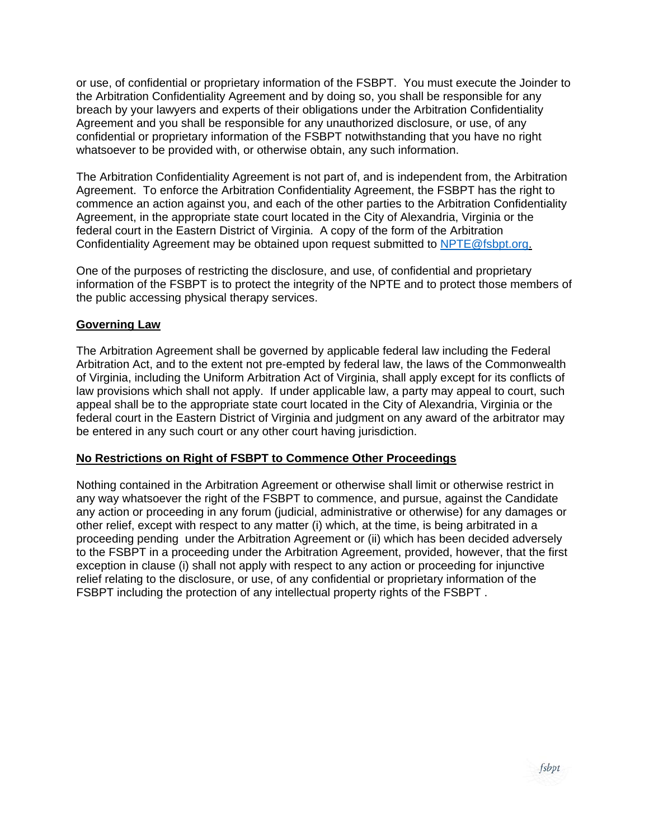or use, of confidential or proprietary information of the FSBPT. You must execute the Joinder to the Arbitration Confidentiality Agreement and by doing so, you shall be responsible for any breach by your lawyers and experts of their obligations under the Arbitration Confidentiality Agreement and you shall be responsible for any unauthorized disclosure, or use, of any confidential or proprietary information of the FSBPT notwithstanding that you have no right whatsoever to be provided with, or otherwise obtain, any such information.

The Arbitration Confidentiality Agreement is not part of, and is independent from, the Arbitration Agreement. To enforce the Arbitration Confidentiality Agreement, the FSBPT has the right to commence an action against you, and each of the other parties to the Arbitration Confidentiality Agreement, in the appropriate state court located in the City of Alexandria, Virginia or the federal court in the Eastern District of Virginia. A copy of the form of the Arbitration Confidentiality Agreement may be obtained upon request submitted to [NPTE@fsbpt.org.](mailto:NPTE@fsbpt.org)

One of the purposes of restricting the disclosure, and use, of confidential and proprietary information of the FSBPT is to protect the integrity of the NPTE and to protect those members of the public accessing physical therapy services.

### **Governing Law**

The Arbitration Agreement shall be governed by applicable federal law including the Federal Arbitration Act, and to the extent not pre-empted by federal law, the laws of the Commonwealth of Virginia, including the Uniform Arbitration Act of Virginia, shall apply except for its conflicts of law provisions which shall not apply. If under applicable law, a party may appeal to court, such appeal shall be to the appropriate state court located in the City of Alexandria, Virginia or the federal court in the Eastern District of Virginia and judgment on any award of the arbitrator may be entered in any such court or any other court having jurisdiction.

### **No Restrictions on Right of FSBPT to Commence Other Proceedings**

Nothing contained in the Arbitration Agreement or otherwise shall limit or otherwise restrict in any way whatsoever the right of the FSBPT to commence, and pursue, against the Candidate any action or proceeding in any forum (judicial, administrative or otherwise) for any damages or other relief, except with respect to any matter (i) which, at the time, is being arbitrated in a proceeding pending under the Arbitration Agreement or (ii) which has been decided adversely to the FSBPT in a proceeding under the Arbitration Agreement, provided, however, that the first exception in clause (i) shall not apply with respect to any action or proceeding for injunctive relief relating to the disclosure, or use, of any confidential or proprietary information of the FSBPT including the protection of any intellectual property rights of the FSBPT .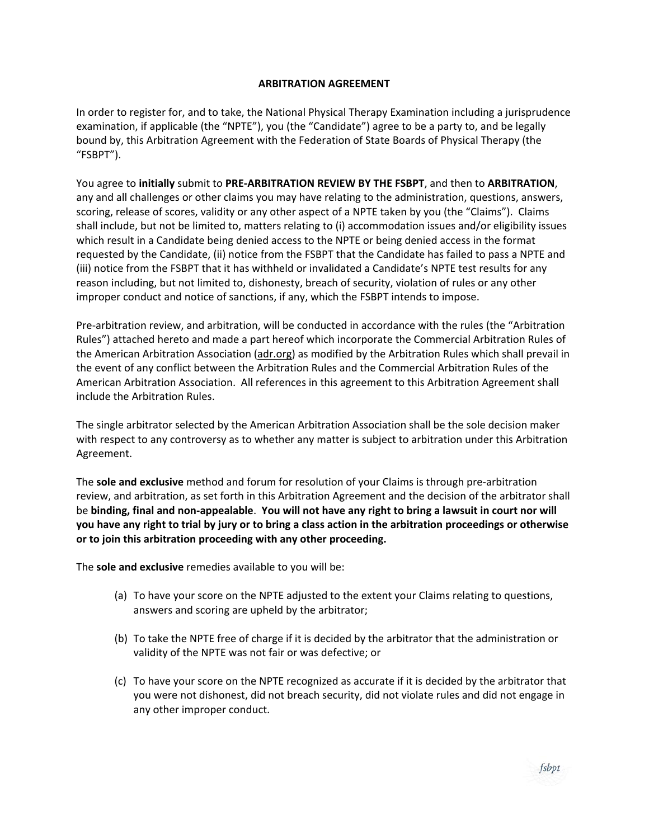#### **ARBITRATION AGREEMENT**

In order to register for, and to take, the National Physical Therapy Examination including a jurisprudence examination, if applicable (the "NPTE"), you (the "Candidate") agree to be a party to, and be legally bound by, this Arbitration Agreement with the Federation of State Boards of Physical Therapy (the "FSBPT").

You agree to **initially** submit to **PRE-ARBITRATION REVIEW BY THE FSBPT**, and then to **ARBITRATION**, any and all challenges or other claims you may have relating to the administration, questions, answers, scoring, release of scores, validity or any other aspect of a NPTE taken by you (the "Claims"). Claims shall include, but not be limited to, matters relating to (i) accommodation issues and/or eligibility issues which result in a Candidate being denied access to the NPTE or being denied access in the format requested by the Candidate, (ii) notice from the FSBPT that the Candidate has failed to pass a NPTE and (iii) notice from the FSBPT that it has withheld or invalidated a Candidate's NPTE test results for any reason including, but not limited to, dishonesty, breach of security, violation of rules or any other improper conduct and notice of sanctions, if any, which the FSBPT intends to impose.

Pre-arbitration review, and arbitration, will be conducted in accordance with the rules (the "Arbitration Rules") attached hereto and made a part hereof which incorporate the Commercial Arbitration Rules of the American Arbitration Association (adr.org) as modified by the Arbitration Rules which shall prevail in the event of any conflict between the Arbitration Rules and the Commercial Arbitration Rules of the American Arbitration Association. All references in this agreement to this Arbitration Agreement shall include the Arbitration Rules.

The single arbitrator selected by the American Arbitration Association shall be the sole decision maker with respect to any controversy as to whether any matter is subject to arbitration under this Arbitration Agreement.

The **sole and exclusive** method and forum for resolution of your Claims is through pre-arbitration review, and arbitration, as set forth in this Arbitration Agreement and the decision of the arbitrator shall be **binding, final and non-appealable**. **You will not have any right to bring a lawsuit in court nor will you have any right to trial by jury or to bring a class action in the arbitration proceedings or otherwise or to join this arbitration proceeding with any other proceeding.**

The **sole and exclusive** remedies available to you will be:

- (a) To have your score on the NPTE adjusted to the extent your Claims relating to questions, answers and scoring are upheld by the arbitrator;
- (b) To take the NPTE free of charge if it is decided by the arbitrator that the administration or validity of the NPTE was not fair or was defective; or
- (c) To have your score on the NPTE recognized as accurate if it is decided by the arbitrator that you were not dishonest, did not breach security, did not violate rules and did not engage in any other improper conduct.

fsbpt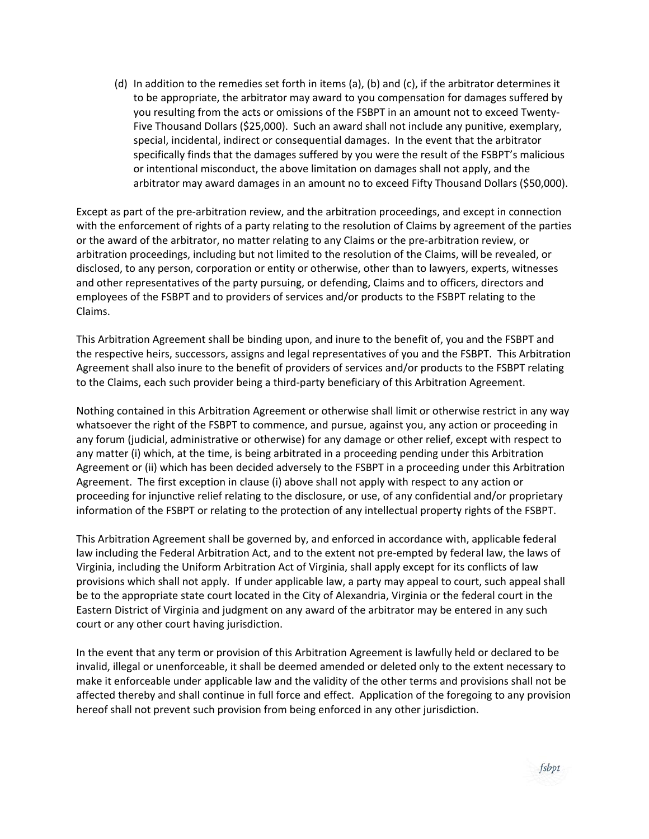(d) In addition to the remedies set forth in items (a), (b) and (c), if the arbitrator determines it to be appropriate, the arbitrator may award to you compensation for damages suffered by you resulting from the acts or omissions of the FSBPT in an amount not to exceed Twenty-Five Thousand Dollars (\$25,000). Such an award shall not include any punitive, exemplary, special, incidental, indirect or consequential damages. In the event that the arbitrator specifically finds that the damages suffered by you were the result of the FSBPT's malicious or intentional misconduct, the above limitation on damages shall not apply, and the arbitrator may award damages in an amount no to exceed Fifty Thousand Dollars (\$50,000).

Except as part of the pre-arbitration review, and the arbitration proceedings, and except in connection with the enforcement of rights of a party relating to the resolution of Claims by agreement of the parties or the award of the arbitrator, no matter relating to any Claims or the pre-arbitration review, or arbitration proceedings, including but not limited to the resolution of the Claims, will be revealed, or disclosed, to any person, corporation or entity or otherwise, other than to lawyers, experts, witnesses and other representatives of the party pursuing, or defending, Claims and to officers, directors and employees of the FSBPT and to providers of services and/or products to the FSBPT relating to the Claims.

This Arbitration Agreement shall be binding upon, and inure to the benefit of, you and the FSBPT and the respective heirs, successors, assigns and legal representatives of you and the FSBPT. This Arbitration Agreement shall also inure to the benefit of providers of services and/or products to the FSBPT relating to the Claims, each such provider being a third-party beneficiary of this Arbitration Agreement.

Nothing contained in this Arbitration Agreement or otherwise shall limit or otherwise restrict in any way whatsoever the right of the FSBPT to commence, and pursue, against you, any action or proceeding in any forum (judicial, administrative or otherwise) for any damage or other relief, except with respect to any matter (i) which, at the time, is being arbitrated in a proceeding pending under this Arbitration Agreement or (ii) which has been decided adversely to the FSBPT in a proceeding under this Arbitration Agreement. The first exception in clause (i) above shall not apply with respect to any action or proceeding for injunctive relief relating to the disclosure, or use, of any confidential and/or proprietary information of the FSBPT or relating to the protection of any intellectual property rights of the FSBPT.

This Arbitration Agreement shall be governed by, and enforced in accordance with, applicable federal law including the Federal Arbitration Act, and to the extent not pre-empted by federal law, the laws of Virginia, including the Uniform Arbitration Act of Virginia, shall apply except for its conflicts of law provisions which shall not apply. If under applicable law, a party may appeal to court, such appeal shall be to the appropriate state court located in the City of Alexandria, Virginia or the federal court in the Eastern District of Virginia and judgment on any award of the arbitrator may be entered in any such court or any other court having jurisdiction.

In the event that any term or provision of this Arbitration Agreement is lawfully held or declared to be invalid, illegal or unenforceable, it shall be deemed amended or deleted only to the extent necessary to make it enforceable under applicable law and the validity of the other terms and provisions shall not be affected thereby and shall continue in full force and effect. Application of the foregoing to any provision hereof shall not prevent such provision from being enforced in any other jurisdiction.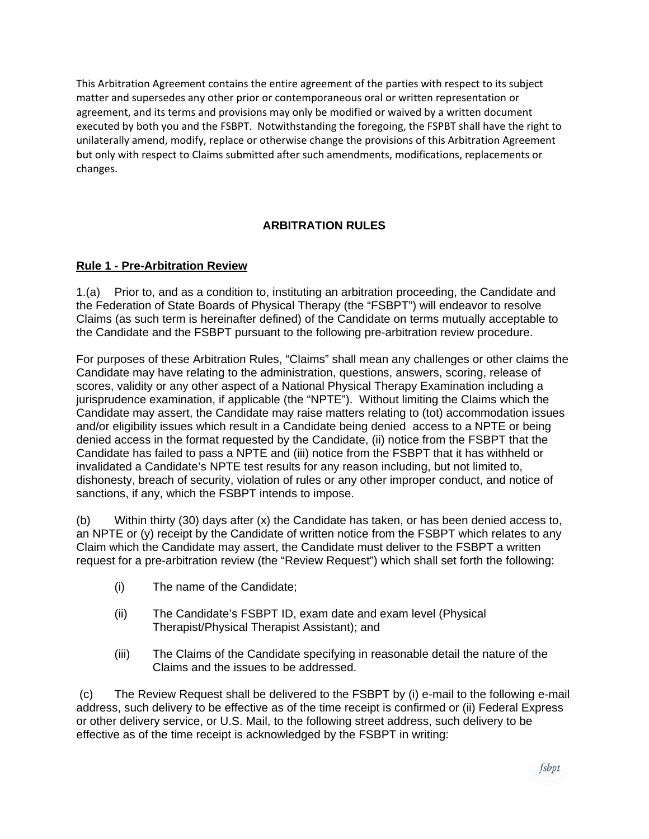This Arbitration Agreement contains the entire agreement of the parties with respect to its subject matter and supersedes any other prior or contemporaneous oral or written representation or agreement, and its terms and provisions may only be modified or waived by a written document executed by both you and the FSBPT. Notwithstanding the foregoing, the FSPBT shall have the right to unilaterally amend, modify, replace or otherwise change the provisions of this Arbitration Agreement but only with respect to Claims submitted after such amendments, modifications, replacements or changes.

# **ARBITRATION RULES**

# **Rule 1 - Pre-Arbitration Review**

1.(a) Prior to, and as a condition to, instituting an arbitration proceeding, the Candidate and the Federation of State Boards of Physical Therapy (the "FSBPT") will endeavor to resolve Claims (as such term is hereinafter defined) of the Candidate on terms mutually acceptable to the Candidate and the FSBPT pursuant to the following pre-arbitration review procedure.

For purposes of these Arbitration Rules, "Claims" shall mean any challenges or other claims the Candidate may have relating to the administration, questions, answers, scoring, release of scores, validity or any other aspect of a National Physical Therapy Examination including a jurisprudence examination, if applicable (the "NPTE"). Without limiting the Claims which the Candidate may assert, the Candidate may raise matters relating to (tot) accommodation issues and/or eligibility issues which result in a Candidate being denied access to a NPTE or being denied access in the format requested by the Candidate, (ii) notice from the FSBPT that the Candidate has failed to pass a NPTE and (iii) notice from the FSBPT that it has withheld or invalidated a Candidate's NPTE test results for any reason including, but not limited to, dishonesty, breach of security, violation of rules or any other improper conduct, and notice of sanctions, if any, which the FSBPT intends to impose.

(b) Within thirty (30) days after (x) the Candidate has taken, or has been denied access to, an NPTE or (y) receipt by the Candidate of written notice from the FSBPT which relates to any Claim which the Candidate may assert, the Candidate must deliver to the FSBPT a written request for a pre-arbitration review (the "Review Request") which shall set forth the following:

- (i) The name of the Candidate;
- (ii) The Candidate's FSBPT ID, exam date and exam level (Physical Therapist/Physical Therapist Assistant); and
- (iii) The Claims of the Candidate specifying in reasonable detail the nature of the Claims and the issues to be addressed.

(c) The Review Request shall be delivered to the FSBPT by (i) e-mail to the following e-mail address, such delivery to be effective as of the time receipt is confirmed or (ii) Federal Express or other delivery service, or U.S. Mail, to the following street address, such delivery to be effective as of the time receipt is acknowledged by the FSBPT in writing: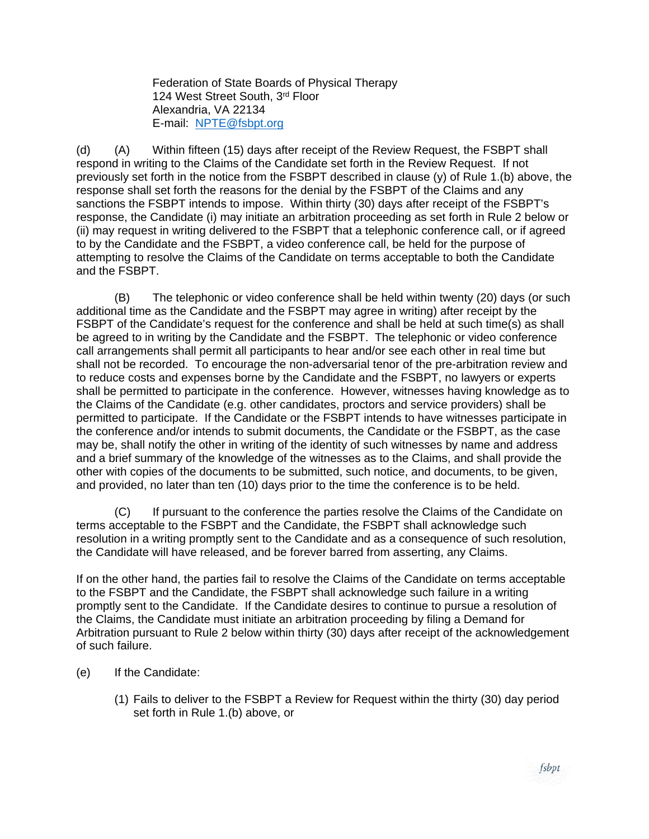Federation of State Boards of Physical Therapy 124 West Street South, 3<sup>rd</sup> Floor Alexandria, VA 22134 E-mail: [NPTE@fsbpt.org](mailto:NPTE@fsbpt.org)

(d) (A) Within fifteen (15) days after receipt of the Review Request, the FSBPT shall respond in writing to the Claims of the Candidate set forth in the Review Request. If not previously set forth in the notice from the FSBPT described in clause (y) of Rule 1.(b) above, the response shall set forth the reasons for the denial by the FSBPT of the Claims and any sanctions the FSBPT intends to impose. Within thirty (30) days after receipt of the FSBPT's response, the Candidate (i) may initiate an arbitration proceeding as set forth in Rule 2 below or (ii) may request in writing delivered to the FSBPT that a telephonic conference call, or if agreed to by the Candidate and the FSBPT, a video conference call, be held for the purpose of attempting to resolve the Claims of the Candidate on terms acceptable to both the Candidate and the FSBPT.

(B) The telephonic or video conference shall be held within twenty (20) days (or such additional time as the Candidate and the FSBPT may agree in writing) after receipt by the FSBPT of the Candidate's request for the conference and shall be held at such time(s) as shall be agreed to in writing by the Candidate and the FSBPT. The telephonic or video conference call arrangements shall permit all participants to hear and/or see each other in real time but shall not be recorded. To encourage the non-adversarial tenor of the pre-arbitration review and to reduce costs and expenses borne by the Candidate and the FSBPT, no lawyers or experts shall be permitted to participate in the conference. However, witnesses having knowledge as to the Claims of the Candidate (e.g. other candidates, proctors and service providers) shall be permitted to participate. If the Candidate or the FSBPT intends to have witnesses participate in the conference and/or intends to submit documents, the Candidate or the FSBPT, as the case may be, shall notify the other in writing of the identity of such witnesses by name and address and a brief summary of the knowledge of the witnesses as to the Claims, and shall provide the other with copies of the documents to be submitted, such notice, and documents, to be given, and provided, no later than ten (10) days prior to the time the conference is to be held.

(C) If pursuant to the conference the parties resolve the Claims of the Candidate on terms acceptable to the FSBPT and the Candidate, the FSBPT shall acknowledge such resolution in a writing promptly sent to the Candidate and as a consequence of such resolution, the Candidate will have released, and be forever barred from asserting, any Claims.

If on the other hand, the parties fail to resolve the Claims of the Candidate on terms acceptable to the FSBPT and the Candidate, the FSBPT shall acknowledge such failure in a writing promptly sent to the Candidate. If the Candidate desires to continue to pursue a resolution of the Claims, the Candidate must initiate an arbitration proceeding by filing a Demand for Arbitration pursuant to Rule 2 below within thirty (30) days after receipt of the acknowledgement of such failure.

- (e) If the Candidate:
	- (1) Fails to deliver to the FSBPT a Review for Request within the thirty (30) day period set forth in Rule 1.(b) above, or

fsbpt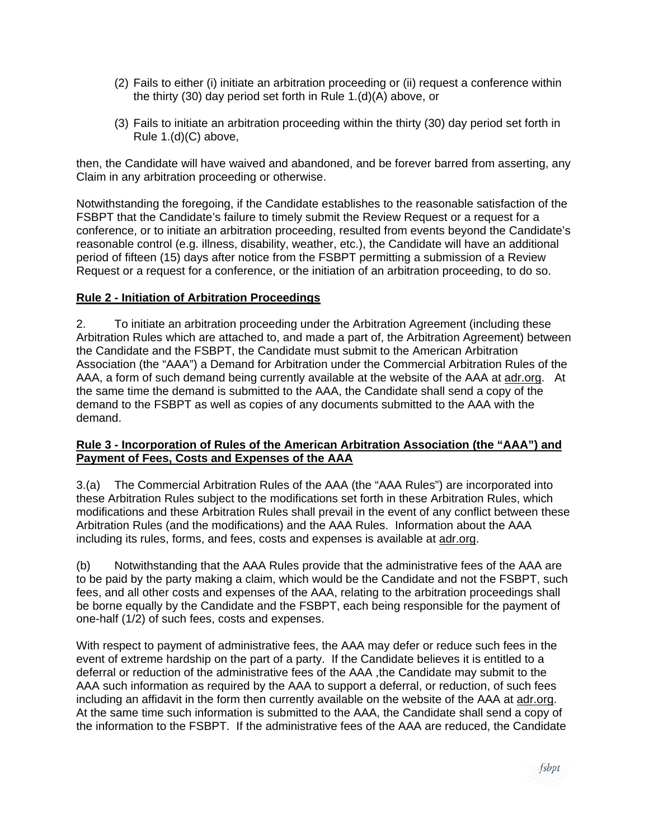- (2) Fails to either (i) initiate an arbitration proceeding or (ii) request a conference within the thirty (30) day period set forth in Rule 1.(d)(A) above, or
- (3) Fails to initiate an arbitration proceeding within the thirty (30) day period set forth in Rule 1.(d)(C) above,

then, the Candidate will have waived and abandoned, and be forever barred from asserting, any Claim in any arbitration proceeding or otherwise.

Notwithstanding the foregoing, if the Candidate establishes to the reasonable satisfaction of the FSBPT that the Candidate's failure to timely submit the Review Request or a request for a conference, or to initiate an arbitration proceeding, resulted from events beyond the Candidate's reasonable control (e.g. illness, disability, weather, etc.), the Candidate will have an additional period of fifteen (15) days after notice from the FSBPT permitting a submission of a Review Request or a request for a conference, or the initiation of an arbitration proceeding, to do so.

# **Rule 2 - Initiation of Arbitration Proceedings**

2. To initiate an arbitration proceeding under the Arbitration Agreement (including these Arbitration Rules which are attached to, and made a part of, the Arbitration Agreement) between the Candidate and the FSBPT, the Candidate must submit to the American Arbitration Association (the "AAA") a Demand for Arbitration under the Commercial Arbitration Rules of the AAA, a form of such demand being currently available at the website of the AAA at adr.org. At the same time the demand is submitted to the AAA, the Candidate shall send a copy of the demand to the FSBPT as well as copies of any documents submitted to the AAA with the demand.

### **Rule 3 - Incorporation of Rules of the American Arbitration Association (the "AAA") and Payment of Fees, Costs and Expenses of the AAA**

3.(a) The Commercial Arbitration Rules of the AAA (the "AAA Rules") are incorporated into these Arbitration Rules subject to the modifications set forth in these Arbitration Rules, which modifications and these Arbitration Rules shall prevail in the event of any conflict between these Arbitration Rules (and the modifications) and the AAA Rules. Information about the AAA including its rules, forms, and fees, costs and expenses is available at adr.org.

(b) Notwithstanding that the AAA Rules provide that the administrative fees of the AAA are to be paid by the party making a claim, which would be the Candidate and not the FSBPT, such fees, and all other costs and expenses of the AAA, relating to the arbitration proceedings shall be borne equally by the Candidate and the FSBPT, each being responsible for the payment of one-half (1/2) of such fees, costs and expenses.

With respect to payment of administrative fees, the AAA may defer or reduce such fees in the event of extreme hardship on the part of a party. If the Candidate believes it is entitled to a deferral or reduction of the administrative fees of the AAA ,the Candidate may submit to the AAA such information as required by the AAA to support a deferral, or reduction, of such fees including an affidavit in the form then currently available on the website of the AAA at adr.org. At the same time such information is submitted to the AAA, the Candidate shall send a copy of the information to the FSBPT. If the administrative fees of the AAA are reduced, the Candidate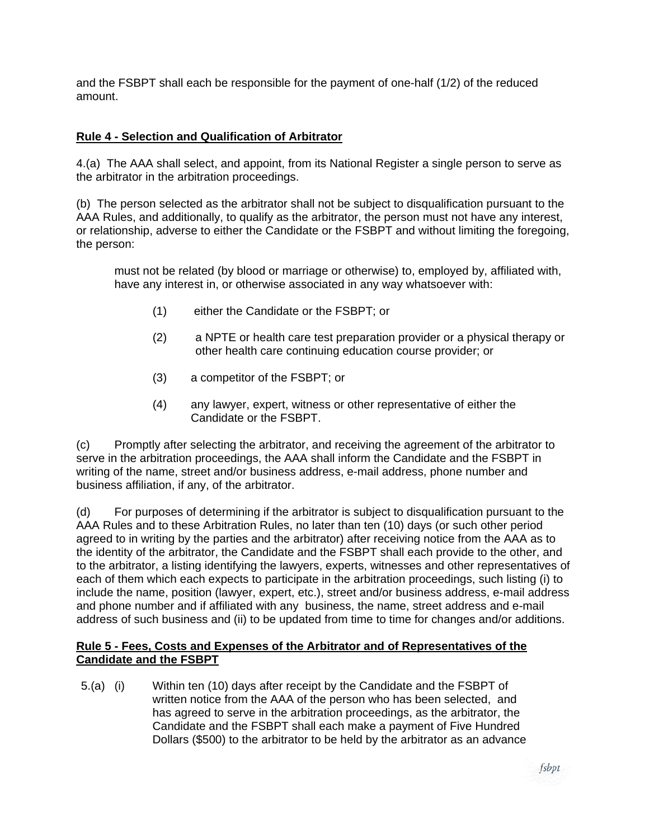and the FSBPT shall each be responsible for the payment of one-half (1/2) of the reduced amount.

# **Rule 4 - Selection and Qualification of Arbitrator**

4.(a) The AAA shall select, and appoint, from its National Register a single person to serve as the arbitrator in the arbitration proceedings.

(b) The person selected as the arbitrator shall not be subject to disqualification pursuant to the AAA Rules, and additionally, to qualify as the arbitrator, the person must not have any interest, or relationship, adverse to either the Candidate or the FSBPT and without limiting the foregoing, the person:

must not be related (by blood or marriage or otherwise) to, employed by, affiliated with, have any interest in, or otherwise associated in any way whatsoever with:

- (1) either the Candidate or the FSBPT; or
- (2) a NPTE or health care test preparation provider or a physical therapy or other health care continuing education course provider; or
- (3) a competitor of the FSBPT; or
- (4) any lawyer, expert, witness or other representative of either the Candidate or the FSBPT.

(c) Promptly after selecting the arbitrator, and receiving the agreement of the arbitrator to serve in the arbitration proceedings, the AAA shall inform the Candidate and the FSBPT in writing of the name, street and/or business address, e-mail address, phone number and business affiliation, if any, of the arbitrator.

(d) For purposes of determining if the arbitrator is subject to disqualification pursuant to the AAA Rules and to these Arbitration Rules, no later than ten (10) days (or such other period agreed to in writing by the parties and the arbitrator) after receiving notice from the AAA as to the identity of the arbitrator, the Candidate and the FSBPT shall each provide to the other, and to the arbitrator, a listing identifying the lawyers, experts, witnesses and other representatives of each of them which each expects to participate in the arbitration proceedings, such listing (i) to include the name, position (lawyer, expert, etc.), street and/or business address, e-mail address and phone number and if affiliated with any business, the name, street address and e-mail address of such business and (ii) to be updated from time to time for changes and/or additions.

# **Rule 5 - Fees, Costs and Expenses of the Arbitrator and of Representatives of the Candidate and the FSBPT**

5.(a) (i) Within ten (10) days after receipt by the Candidate and the FSBPT of written notice from the AAA of the person who has been selected, and has agreed to serve in the arbitration proceedings, as the arbitrator, the Candidate and the FSBPT shall each make a payment of Five Hundred Dollars (\$500) to the arbitrator to be held by the arbitrator as an advance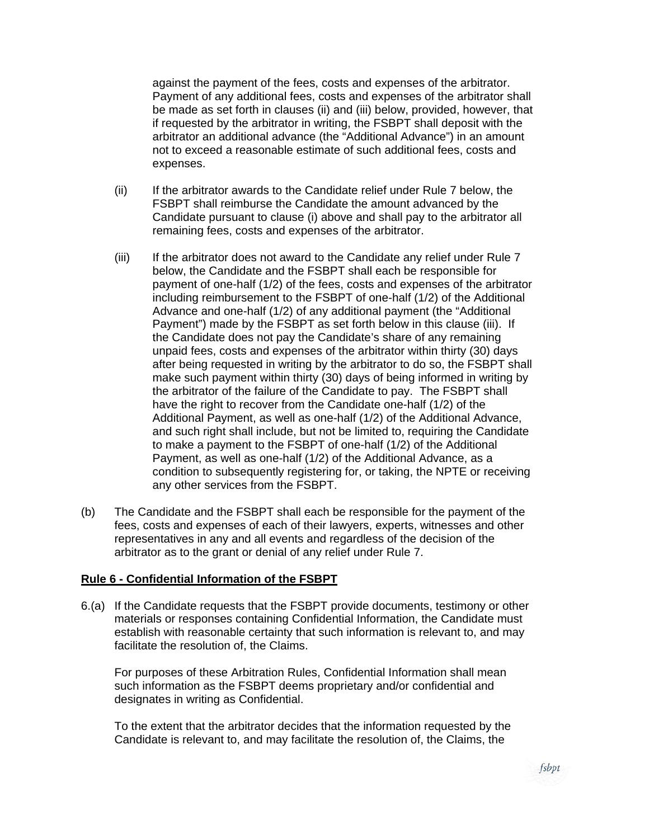against the payment of the fees, costs and expenses of the arbitrator. Payment of any additional fees, costs and expenses of the arbitrator shall be made as set forth in clauses (ii) and (iii) below, provided, however, that if requested by the arbitrator in writing, the FSBPT shall deposit with the arbitrator an additional advance (the "Additional Advance") in an amount not to exceed a reasonable estimate of such additional fees, costs and expenses.

- (ii) If the arbitrator awards to the Candidate relief under Rule 7 below, the FSBPT shall reimburse the Candidate the amount advanced by the Candidate pursuant to clause (i) above and shall pay to the arbitrator all remaining fees, costs and expenses of the arbitrator.
- (iii) If the arbitrator does not award to the Candidate any relief under Rule 7 below, the Candidate and the FSBPT shall each be responsible for payment of one-half (1/2) of the fees, costs and expenses of the arbitrator including reimbursement to the FSBPT of one-half (1/2) of the Additional Advance and one-half (1/2) of any additional payment (the "Additional Payment") made by the FSBPT as set forth below in this clause (iii). If the Candidate does not pay the Candidate's share of any remaining unpaid fees, costs and expenses of the arbitrator within thirty (30) days after being requested in writing by the arbitrator to do so, the FSBPT shall make such payment within thirty (30) days of being informed in writing by the arbitrator of the failure of the Candidate to pay. The FSBPT shall have the right to recover from the Candidate one-half (1/2) of the Additional Payment, as well as one-half (1/2) of the Additional Advance, and such right shall include, but not be limited to, requiring the Candidate to make a payment to the FSBPT of one-half (1/2) of the Additional Payment, as well as one-half (1/2) of the Additional Advance, as a condition to subsequently registering for, or taking, the NPTE or receiving any other services from the FSBPT.
- (b) The Candidate and the FSBPT shall each be responsible for the payment of the fees, costs and expenses of each of their lawyers, experts, witnesses and other representatives in any and all events and regardless of the decision of the arbitrator as to the grant or denial of any relief under Rule 7.

### **Rule 6 - Confidential Information of the FSBPT**

6.(a) If the Candidate requests that the FSBPT provide documents, testimony or other materials or responses containing Confidential Information, the Candidate must establish with reasonable certainty that such information is relevant to, and may facilitate the resolution of, the Claims.

For purposes of these Arbitration Rules, Confidential Information shall mean such information as the FSBPT deems proprietary and/or confidential and designates in writing as Confidential.

To the extent that the arbitrator decides that the information requested by the Candidate is relevant to, and may facilitate the resolution of, the Claims, the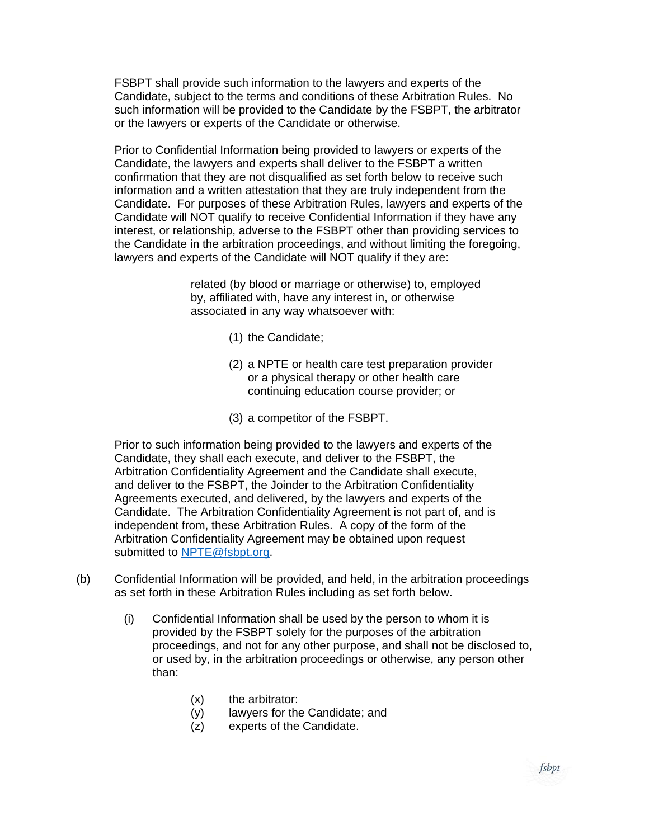FSBPT shall provide such information to the lawyers and experts of the Candidate, subject to the terms and conditions of these Arbitration Rules. No such information will be provided to the Candidate by the FSBPT, the arbitrator or the lawyers or experts of the Candidate or otherwise.

Prior to Confidential Information being provided to lawyers or experts of the Candidate, the lawyers and experts shall deliver to the FSBPT a written confirmation that they are not disqualified as set forth below to receive such information and a written attestation that they are truly independent from the Candidate. For purposes of these Arbitration Rules, lawyers and experts of the Candidate will NOT qualify to receive Confidential Information if they have any interest, or relationship, adverse to the FSBPT other than providing services to the Candidate in the arbitration proceedings, and without limiting the foregoing, lawyers and experts of the Candidate will NOT qualify if they are:

> related (by blood or marriage or otherwise) to, employed by, affiliated with, have any interest in, or otherwise associated in any way whatsoever with:

- (1) the Candidate;
- (2) a NPTE or health care test preparation provider or a physical therapy or other health care continuing education course provider; or
- (3) a competitor of the FSBPT.

Prior to such information being provided to the lawyers and experts of the Candidate, they shall each execute, and deliver to the FSBPT, the Arbitration Confidentiality Agreement and the Candidate shall execute, and deliver to the FSBPT, the Joinder to the Arbitration Confidentiality Agreements executed, and delivered, by the lawyers and experts of the Candidate. The Arbitration Confidentiality Agreement is not part of, and is independent from, these Arbitration Rules. A copy of the form of the Arbitration Confidentiality Agreement may be obtained upon request submitted to [NPTE@fsbpt.org.](mailto:NPTE@fsbpt.org)

- (b) Confidential Information will be provided, and held, in the arbitration proceedings as set forth in these Arbitration Rules including as set forth below.
	- (i) Confidential Information shall be used by the person to whom it is provided by the FSBPT solely for the purposes of the arbitration proceedings, and not for any other purpose, and shall not be disclosed to, or used by, in the arbitration proceedings or otherwise, any person other than:
		- (x) the arbitrator:
		- (y) lawyers for the Candidate; and
		- (z) experts of the Candidate.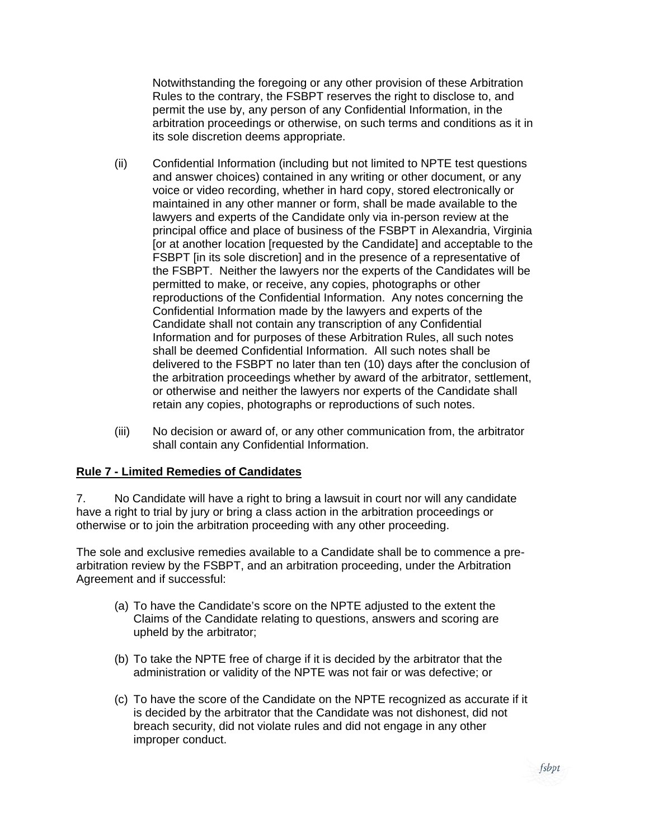Notwithstanding the foregoing or any other provision of these Arbitration Rules to the contrary, the FSBPT reserves the right to disclose to, and permit the use by, any person of any Confidential Information, in the arbitration proceedings or otherwise, on such terms and conditions as it in its sole discretion deems appropriate.

- (ii) Confidential Information (including but not limited to NPTE test questions and answer choices) contained in any writing or other document, or any voice or video recording, whether in hard copy, stored electronically or maintained in any other manner or form, shall be made available to the lawyers and experts of the Candidate only via in-person review at the principal office and place of business of the FSBPT in Alexandria, Virginia [or at another location [requested by the Candidate] and acceptable to the FSBPT [in its sole discretion] and in the presence of a representative of the FSBPT. Neither the lawyers nor the experts of the Candidates will be permitted to make, or receive, any copies, photographs or other reproductions of the Confidential Information. Any notes concerning the Confidential Information made by the lawyers and experts of the Candidate shall not contain any transcription of any Confidential Information and for purposes of these Arbitration Rules, all such notes shall be deemed Confidential Information. All such notes shall be delivered to the FSBPT no later than ten (10) days after the conclusion of the arbitration proceedings whether by award of the arbitrator, settlement, or otherwise and neither the lawyers nor experts of the Candidate shall retain any copies, photographs or reproductions of such notes.
- (iii) No decision or award of, or any other communication from, the arbitrator shall contain any Confidential Information.

### **Rule 7 - Limited Remedies of Candidates**

7. No Candidate will have a right to bring a lawsuit in court nor will any candidate have a right to trial by jury or bring a class action in the arbitration proceedings or otherwise or to join the arbitration proceeding with any other proceeding.

The sole and exclusive remedies available to a Candidate shall be to commence a prearbitration review by the FSBPT, and an arbitration proceeding, under the Arbitration Agreement and if successful:

- (a) To have the Candidate's score on the NPTE adjusted to the extent the Claims of the Candidate relating to questions, answers and scoring are upheld by the arbitrator;
- (b) To take the NPTE free of charge if it is decided by the arbitrator that the administration or validity of the NPTE was not fair or was defective; or
- (c) To have the score of the Candidate on the NPTE recognized as accurate if it is decided by the arbitrator that the Candidate was not dishonest, did not breach security, did not violate rules and did not engage in any other improper conduct.

fsbpt